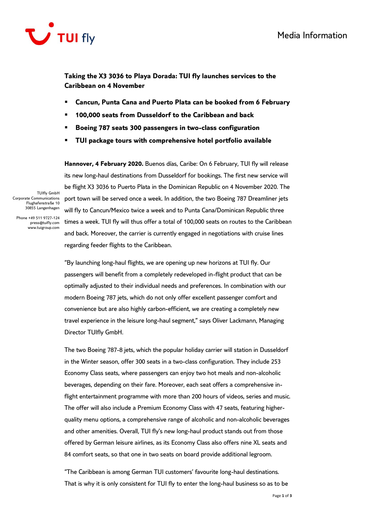

**Taking the X3 3036 to Playa Dorada: TUI fly launches services to the Caribbean on 4 November** 

- **Cancun, Punta Cana and Puerto Plata can be booked from 6 February**
- **100,000 seats from Dusseldorf to the Caribbean and back**
- **Boeing 787 seats 300 passengers in two-class configuration**
- **TUI package tours with comprehensive hotel portfolio available**

**Hannover, 4 February 2020.** Buenos días, Caribe: On 6 February, TUI fly will release its new long-haul destinations from Dusseldorf for bookings. The first new service will be flight X3 3036 to Puerto Plata in the Dominican Republic on 4 November 2020. The port town will be served once a week. In addition, the two Boeing 787 Dreamliner jets will fly to Cancun/Mexico twice a week and to Punta Cana/Dominican Republic three times a week. TUI fly will thus offer a total of 100,000 seats on routes to the Caribbean and back. Moreover, the carrier is currently engaged in negotiations with cruise lines regarding feeder flights to the Caribbean.

TUIfly GmbH Corporate Communications Flughafenstraße 10 30855 Langenhagen

Phone +49 511 9727-124 press@tuifly.com www.tuigroup.com

> "By launching long-haul flights, we are opening up new horizons at TUI fly. Our passengers will benefit from a completely redeveloped in-flight product that can be optimally adjusted to their individual needs and preferences. In combination with our modern Boeing 787 jets, which do not only offer excellent passenger comfort and convenience but are also highly carbon-efficient, we are creating a completely new travel experience in the leisure long-haul segment," says Oliver Lackmann, Managing Director TUIfly GmbH.

The two Boeing 787-8 jets, which the popular holiday carrier will station in Dusseldorf in the Winter season, offer 300 seats in a two-class configuration. They include 253 Economy Class seats, where passengers can enjoy two hot meals and non-alcoholic beverages, depending on their fare. Moreover, each seat offers a comprehensive inflight entertainment programme with more than 200 hours of videos, series and music. The offer will also include a Premium Economy Class with 47 seats, featuring higherquality menu options, a comprehensive range of alcoholic and non-alcoholic beverages and other amenities. Overall, TUI fly's new long-haul product stands out from those offered by German leisure airlines, as its Economy Class also offers nine XL seats and 84 comfort seats, so that one in two seats on board provide additional legroom.

"The Caribbean is among German TUI customers' favourite long-haul destinations. That is why it is only consistent for TUI fly to enter the long-haul business so as to be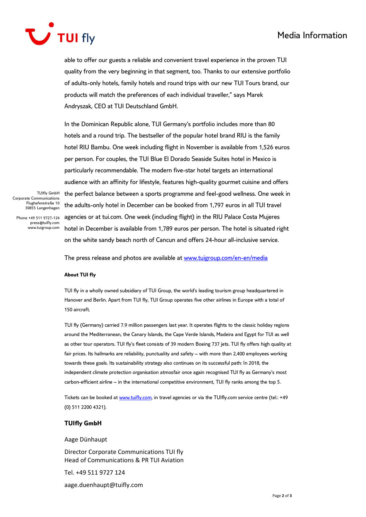## Media Information



able to offer our guests a reliable and convenient travel experience in the proven TUI quality from the very beginning in that segment, too. Thanks to our extensive portfolio of adults-only hotels, family hotels and round trips with our new TUI Tours brand, our products will match the preferences of each individual traveller," says Marek Andryszak, CEO at TUI Deutschland GmbH.

In the Dominican Republic alone, TUI Germany's portfolio includes more than 80 hotels and a round trip. The bestseller of the popular hotel brand RIU is the family hotel RIU Bambu. One week including flight in November is available from 1,526 euros per person. For couples, the TUI Blue El Dorado Seaside Suites hotel in Mexico is particularly recommendable. The modern five-star hotel targets an international audience with an affinity for lifestyle, features high-quality gourmet cuisine and offers the perfect balance between a sports programme and feel-good wellness. One week in the adults-only hotel in December can be booked from 1,797 euros in all TUI travel agencies or at tui.com. One week (including flight) in the RIU Palace Costa Mujeres hotel in December is available from 1,789 euros per person. The hotel is situated right on the white sandy beach north of Cancun and offers 24-hour all-inclusive service.

TUIfly GmbH Corporate Communications Flughafenstraße 10 30855 Langenhagen

Phone +49 511 9727-124 press@tuifly.com www.tuigroup.com

The press release and photos are available at [www.tuigroup.com/en-en/media](http://www.tuigroup.com/en-en/media)

## **About TUI fly**

TUI fly in a wholly owned subsidiary of TUI Group, the world's leading tourism group headquartered in Hanover and Berlin. Apart from TUI fly, TUI Group operates five other airlines in Europe with a total of 150 aircraft.

TUI fly (Germany) carried 7.9 million passengers last year. It operates flights to the classic holiday regions around the Mediterranean, the Canary Islands, the Cape Verde Islands, Madeira and Egypt for TUI as well as other tour operators. TUI fly's fleet consists of 39 modern Boeing 737 jets. TUI fly offers high quality at fair prices. Its hallmarks are reliability, punctuality and safety – with more than 2,400 employees working towards these goals. Its sustainability strategy also continues on its successful path: In 2018, the independent climate protection organisation atmosfair once again recognised TUI fly as Germany's most carbon-efficient airline – in the international competitive environment, TUI fly ranks among the top 5.

Tickets can be booked at [www.tuifly.com,](http://www.tuifly.com/) in travel agencies or via the TUIfly.com service centre (tel.: +49 (0) 511 2200 4321).

## **TUIfly GmbH**

Aage Dünhaupt

Director Corporate Communications TUI fly Head of Communications & PR TUI Aviation

Tel. +49 511 9727 124

aage.duenhaupt@tuifly.com